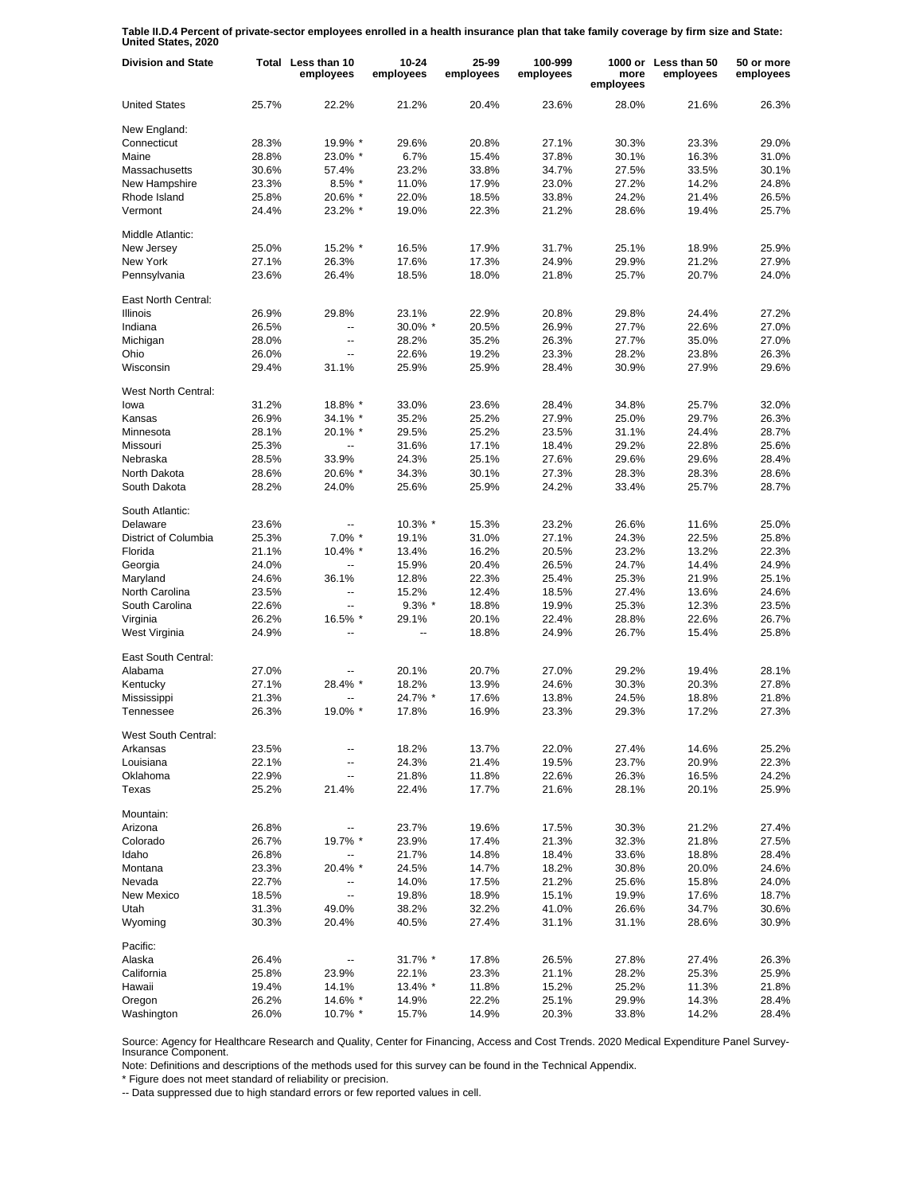**Table II.D.4 Percent of private-sector employees enrolled in a health insurance plan that take family coverage by firm size and State: United States, 2020**

| <b>Division and State</b> |       | Total Less than 10<br>employees | $10 - 24$<br>employees | 25-99<br>employees | 100-999<br>employees | more<br>employees | 1000 or Less than 50<br>employees | 50 or more<br>employees |
|---------------------------|-------|---------------------------------|------------------------|--------------------|----------------------|-------------------|-----------------------------------|-------------------------|
| <b>United States</b>      | 25.7% | 22.2%                           | 21.2%                  | 20.4%              | 23.6%                | 28.0%             | 21.6%                             | 26.3%                   |
| New England:              |       |                                 |                        |                    |                      |                   |                                   |                         |
| Connecticut               | 28.3% | 19.9% *                         | 29.6%                  | 20.8%              | 27.1%                | 30.3%             | 23.3%                             | 29.0%                   |
| Maine                     | 28.8% | 23.0% *                         | 6.7%                   | 15.4%              | 37.8%                | 30.1%             | 16.3%                             | 31.0%                   |
| Massachusetts             | 30.6% | 57.4%                           | 23.2%                  | 33.8%              | 34.7%                | 27.5%             | 33.5%                             | 30.1%                   |
| New Hampshire             | 23.3% | $8.5\%$ *                       | 11.0%                  | 17.9%              | 23.0%                | 27.2%             | 14.2%                             | 24.8%                   |
| Rhode Island              | 25.8% | 20.6% *                         | 22.0%                  | 18.5%              | 33.8%                | 24.2%             | 21.4%                             | 26.5%                   |
| Vermont                   | 24.4% | 23.2% *                         | 19.0%                  | 22.3%              | 21.2%                | 28.6%             | 19.4%                             | 25.7%                   |
| Middle Atlantic:          |       |                                 |                        |                    |                      |                   |                                   |                         |
| New Jersey                | 25.0% | 15.2% *                         | 16.5%                  | 17.9%              | 31.7%                | 25.1%             | 18.9%                             | 25.9%                   |
| New York                  | 27.1% | 26.3%                           | 17.6%                  | 17.3%              | 24.9%                | 29.9%             | 21.2%                             | 27.9%                   |
| Pennsylvania              | 23.6% | 26.4%                           | 18.5%                  | 18.0%              | 21.8%                | 25.7%             | 20.7%                             | 24.0%                   |
| East North Central:       |       |                                 |                        |                    |                      |                   |                                   |                         |
| <b>Illinois</b>           | 26.9% | 29.8%                           | 23.1%                  | 22.9%              | 20.8%                | 29.8%             | 24.4%                             | 27.2%                   |
| Indiana                   | 26.5% | Ξ.                              | 30.0% *                | 20.5%              | 26.9%                | 27.7%             | 22.6%                             | 27.0%                   |
| Michigan                  | 28.0% | $\overline{a}$                  | 28.2%                  | 35.2%              | 26.3%                | 27.7%             | 35.0%                             | 27.0%                   |
| Ohio                      | 26.0% | $\overline{\phantom{a}}$        | 22.6%                  | 19.2%              | 23.3%                | 28.2%             | 23.8%                             | 26.3%                   |
| Wisconsin                 | 29.4% | 31.1%                           | 25.9%                  | 25.9%              | 28.4%                | 30.9%             | 27.9%                             | 29.6%                   |
|                           |       |                                 |                        |                    |                      |                   |                                   |                         |
| West North Central:       |       |                                 |                        |                    |                      |                   |                                   |                         |
| lowa                      | 31.2% | 18.8% *                         | 33.0%                  | 23.6%              | 28.4%                | 34.8%             | 25.7%                             | 32.0%                   |
| Kansas                    | 26.9% | 34.1% *                         | 35.2%                  | 25.2%              | 27.9%                | 25.0%             | 29.7%                             | 26.3%                   |
| Minnesota                 | 28.1% | $20.1\%$ *                      | 29.5%                  | 25.2%              | 23.5%                | 31.1%             | 24.4%                             | 28.7%                   |
| Missouri                  | 25.3% | Ξ.                              | 31.6%                  | 17.1%              | 18.4%                | 29.2%             | 22.8%                             | 25.6%                   |
| Nebraska                  | 28.5% | 33.9%                           | 24.3%                  | 25.1%              | 27.6%                | 29.6%             | 29.6%                             | 28.4%                   |
| North Dakota              | 28.6% | 20.6% *                         | 34.3%                  | 30.1%              | 27.3%                | 28.3%             | 28.3%                             | 28.6%                   |
| South Dakota              | 28.2% | 24.0%                           | 25.6%                  | 25.9%              | 24.2%                | 33.4%             | 25.7%                             | 28.7%                   |
| South Atlantic:           |       |                                 |                        |                    |                      |                   |                                   |                         |
| Delaware                  | 23.6% |                                 | 10.3% *                | 15.3%              | 23.2%                | 26.6%             | 11.6%                             | 25.0%                   |
| District of Columbia      | 25.3% | 7.0% *                          | 19.1%                  | 31.0%              | 27.1%                | 24.3%             | 22.5%                             | 25.8%                   |
| Florida                   | 21.1% | $10.4\%$ *                      | 13.4%                  | 16.2%              | 20.5%                | 23.2%             | 13.2%                             | 22.3%                   |
| Georgia                   | 24.0% | $\overline{\phantom{a}}$        | 15.9%                  | 20.4%              | 26.5%                | 24.7%             | 14.4%                             | 24.9%                   |
|                           | 24.6% |                                 | 12.8%                  | 22.3%              | 25.4%                | 25.3%             |                                   | 25.1%                   |
| Maryland                  |       | 36.1%                           |                        |                    |                      |                   | 21.9%                             |                         |
| North Carolina            | 23.5% |                                 | 15.2%                  | 12.4%              | 18.5%                | 27.4%             | 13.6%                             | 24.6%                   |
| South Carolina            | 22.6% | --                              | $9.3\%$ *              | 18.8%              | 19.9%                | 25.3%             | 12.3%                             | 23.5%                   |
| Virginia                  | 26.2% | 16.5% *                         | 29.1%                  | 20.1%              | 22.4%                | 28.8%             | 22.6%                             | 26.7%                   |
| West Virginia             | 24.9% |                                 | --                     | 18.8%              | 24.9%                | 26.7%             | 15.4%                             | 25.8%                   |
| East South Central:       |       |                                 |                        |                    |                      |                   |                                   |                         |
| Alabama                   | 27.0% | --                              | 20.1%                  | 20.7%              | 27.0%                | 29.2%             | 19.4%                             | 28.1%                   |
| Kentucky                  | 27.1% | 28.4% *                         | 18.2%                  | 13.9%              | 24.6%                | 30.3%             | 20.3%                             | 27.8%                   |
| Mississippi               | 21.3% |                                 | 24.7% *                | 17.6%              | 13.8%                | 24.5%             | 18.8%                             | 21.8%                   |
| Tennessee                 | 26.3% | 19.0% *                         | 17.8%                  | 16.9%              | 23.3%                | 29.3%             | 17.2%                             | 27.3%                   |
| West South Central:       |       |                                 |                        |                    |                      |                   |                                   |                         |
| Arkansas                  | 23.5% |                                 | 18.2%                  | 13.7%              | 22.0%                | 27.4%             | 14.6%                             | 25.2%                   |
| Louisiana                 | 22.1% | --                              | 24.3%                  | 21.4%              | 19.5%                | 23.7%             | 20.9%                             | 22.3%                   |
| Oklahoma                  | 22.9% | ۰.                              | 21.8%                  | 11.8%              | 22.6%                | 26.3%             | 16.5%                             | 24.2%                   |
| Texas                     | 25.2% | 21.4%                           | 22.4%                  | 17.7%              | 21.6%                | 28.1%             | 20.1%                             | 25.9%                   |
| Mountain:                 |       |                                 |                        |                    |                      |                   |                                   |                         |
| Arizona                   | 26.8% | --                              | 23.7%                  | 19.6%              | 17.5%                | 30.3%             | 21.2%                             | 27.4%                   |
| Colorado                  | 26.7% | 19.7% *                         | 23.9%                  | 17.4%              | 21.3%                | 32.3%             | 21.8%                             | 27.5%                   |
|                           |       |                                 | 21.7%                  | 14.8%              |                      |                   | 18.8%                             |                         |
| Idaho                     | 26.8% |                                 |                        |                    | 18.4%                | 33.6%             | 20.0%                             | 28.4%                   |
| Montana                   | 23.3% | 20.4% *                         | 24.5%                  | 14.7%              | 18.2%                | 30.8%             |                                   | 24.6%                   |
| Nevada                    | 22.7% |                                 | 14.0%                  | 17.5%              | 21.2%                | 25.6%             | 15.8%                             | 24.0%                   |
| <b>New Mexico</b>         | 18.5% | --                              | 19.8%                  | 18.9%              | 15.1%                | 19.9%             | 17.6%                             | 18.7%                   |
| Utah                      | 31.3% | 49.0%                           | 38.2%                  | 32.2%              | 41.0%                | 26.6%             | 34.7%                             | 30.6%                   |
| Wyoming                   | 30.3% | 20.4%                           | 40.5%                  | 27.4%              | 31.1%                | 31.1%             | 28.6%                             | 30.9%                   |
| Pacific:                  |       |                                 |                        |                    |                      |                   |                                   |                         |
| Alaska                    | 26.4% |                                 | 31.7% *                | 17.8%              | 26.5%                | 27.8%             | 27.4%                             | 26.3%                   |
| California                | 25.8% | 23.9%                           | 22.1%                  | 23.3%              | 21.1%                | 28.2%             | 25.3%                             | 25.9%                   |
| Hawaii                    | 19.4% | 14.1%                           | 13.4% *                | 11.8%              | 15.2%                | 25.2%             | 11.3%                             | 21.8%                   |
| Oregon                    | 26.2% | 14.6% *                         | 14.9%                  | 22.2%              | 25.1%                | 29.9%             | 14.3%                             | 28.4%                   |
| Washington                | 26.0% | 10.7% *                         | 15.7%                  | 14.9%              | 20.3%                | 33.8%             | 14.2%                             | 28.4%                   |

Source: Agency for Healthcare Research and Quality, Center for Financing, Access and Cost Trends. 2020 Medical Expenditure Panel Survey-Insurance Component.

Note: Definitions and descriptions of the methods used for this survey can be found in the Technical Appendix.

\* Figure does not meet standard of reliability or precision.

-- Data suppressed due to high standard errors or few reported values in cell.